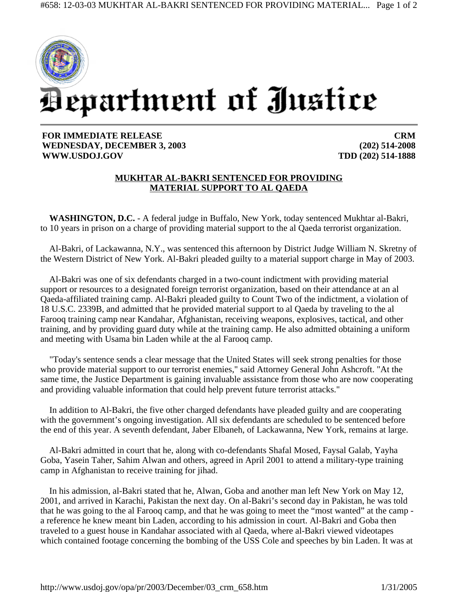

## **FOR IMMEDIATE RELEASE WEDNESDAY, DECEMBER 3, 2003 WWW.USDOJ.GOV**

**CRM (202) 514-2008 TDD (202) 514-1888**

## **MUKHTAR AL-BAKRI SENTENCED FOR PROVIDING MATERIAL SUPPORT TO AL QAEDA**

**WASHINGTON, D.C.** - A federal judge in Buffalo, New York, today sentenced Mukhtar al-Bakri, to 10 years in prison on a charge of providing material support to the al Qaeda terrorist organization.

Al-Bakri, of Lackawanna, N.Y., was sentenced this afternoon by District Judge William N. Skretny of the Western District of New York. Al-Bakri pleaded guilty to a material support charge in May of 2003.

Al-Bakri was one of six defendants charged in a two-count indictment with providing material support or resources to a designated foreign terrorist organization, based on their attendance at an al Qaeda-affiliated training camp. Al-Bakri pleaded guilty to Count Two of the indictment, a violation of 18 U.S.C. 2339B, and admitted that he provided material support to al Qaeda by traveling to the al Farooq training camp near Kandahar, Afghanistan, receiving weapons, explosives, tactical, and other training, and by providing guard duty while at the training camp. He also admitted obtaining a uniform and meeting with Usama bin Laden while at the al Farooq camp.

"Today's sentence sends a clear message that the United States will seek strong penalties for those who provide material support to our terrorist enemies," said Attorney General John Ashcroft. "At the same time, the Justice Department is gaining invaluable assistance from those who are now cooperating and providing valuable information that could help prevent future terrorist attacks."

In addition to Al-Bakri, the five other charged defendants have pleaded guilty and are cooperating with the government's ongoing investigation. All six defendants are scheduled to be sentenced before the end of this year. A seventh defendant, Jaber Elbaneh, of Lackawanna, New York, remains at large.

Al-Bakri admitted in court that he, along with co-defendants Shafal Mosed, Faysal Galab, Yayha Goba, Yasein Taher, Sahim Alwan and others, agreed in April 2001 to attend a military-type training camp in Afghanistan to receive training for jihad.

In his admission, al-Bakri stated that he, Alwan, Goba and another man left New York on May 12, 2001, and arrived in Karachi, Pakistan the next day. On al-Bakri's second day in Pakistan, he was told that he was going to the al Farooq camp, and that he was going to meet the "most wanted" at the camp a reference he knew meant bin Laden, according to his admission in court. Al-Bakri and Goba then traveled to a guest house in Kandahar associated with al Qaeda, where al-Bakri viewed videotapes which contained footage concerning the bombing of the USS Cole and speeches by bin Laden. It was at